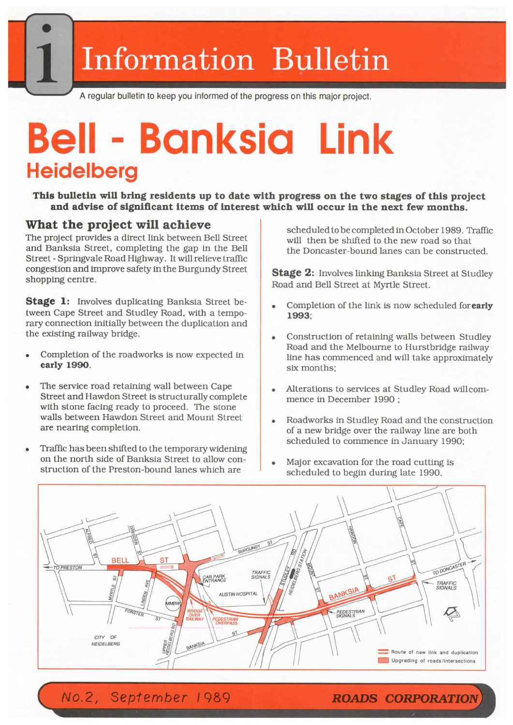## **ii** Information Bulletin

*y* **<sup>A</sup> regular bulletin to keep you informed of the progress on this major project.**

# Bell - Banksia Link **Heidelberg**

**This bulletin will bring residents up to date with progress on the two stages of this project and advise of significant items of interest which will occur in the next few months.**

#### **What the project will achieve**

The project provides a direct link between Bell Street and Banksia Street, completing the gap in the Bell Street -Springvale Road Highway. It will relieve traffic congestion and improve safety in the Burgundy Street shopping centre.

**Stage 1:** Involves duplicating Banksia Street between Cape Street and Studley Road, with a temporary connection initially between the duplication and the existing railway bridge.

- Completion of the roadworks is now expected in **early 1990.**
- The service road retaining wall between Cape Street and Hawdon Street is structurally complete with stone facing ready to proceed. The stone walls between Hawdon Street and Mount Street are nearing completion.
- Traffic has been shifted to the temporary widening on the north side of Banksia Street to allow construction of the Preston-bound lanes which are

scheduled tobecompleted inOctober 1989. Traffic will then be shifted to the new road so that the Doncaster-bound lanes can be constructed.

**Stage 2:** Involves linking Banksia Street at Studley Road and Bell Street at Myrtle Street.

- Completion of the link is now scheduled for **early 1993;**
- Construction of retaining walls between Studley  $\bullet$ Road and the Melbourne to Hurstbridge railway line has commenced and will take approximately six months;
- Alterations to services at Studley Road willcommence in December 1990 ;
- $\bullet$ Roadworks in Studley Road and the construction of a new bridge over the railway line are both scheduled to commence in January 1990;
- Major excavation for the road cutting is scheduled to begin during late 1990.



A/o.2, *September <sup>I</sup>* 989 *ROADS CORPORATION*